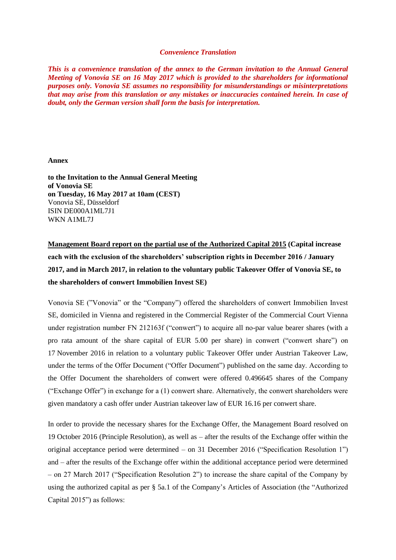## *Convenience Translation*

*This is a convenience translation of the annex to the German invitation to the Annual General Meeting of Vonovia SE on 16 May 2017 which is provided to the shareholders for informational purposes only. Vonovia SE assumes no responsibility for misunderstandings or misinterpretations that may arise from this translation or any mistakes or inaccuracies contained herein. In case of doubt, only the German version shall form the basis for interpretation.*

## **Annex**

**to the Invitation to the Annual General Meeting of Vonovia SE on Tuesday, 16 May 2017 at 10am (CEST)** Vonovia SE, Düsseldorf ISIN DE000A1ML7J1 WKN A1ML7J

**Management Board report on the partial use of the Authorized Capital 2015 (Capital increase each with the exclusion of the shareholders' subscription rights in December 2016 / January 2017, and in March 2017, in relation to the voluntary public Takeover Offer of Vonovia SE, to the shareholders of conwert Immobilien Invest SE)**

Vonovia SE ("Vonovia" or the "Company") offered the shareholders of conwert Immobilien Invest SE, domiciled in Vienna and registered in the Commercial Register of the Commercial Court Vienna under registration number FN 212163f ("conwert") to acquire all no-par value bearer shares (with a pro rata amount of the share capital of EUR 5.00 per share) in conwert ("conwert share") on 17 November 2016 in relation to a voluntary public Takeover Offer under Austrian Takeover Law, under the terms of the Offer Document ("Offer Document") published on the same day. According to the Offer Document the shareholders of conwert were offered 0.496645 shares of the Company ("Exchange Offer") in exchange for a (1) conwert share. Alternatively, the conwert shareholders were given mandatory a cash offer under Austrian takeover law of EUR 16.16 per conwert share.

In order to provide the necessary shares for the Exchange Offer, the Management Board resolved on 19 October 2016 (Principle Resolution), as well as – after the results of the Exchange offer within the original acceptance period were determined – on 31 December 2016 ("Specification Resolution 1") and – after the results of the Exchange offer within the additional acceptance period were determined – on 27 March 2017 ("Specification Resolution 2") to increase the share capital of the Company by using the authorized capital as per § 5a.1 of the Company's Articles of Association (the "Authorized Capital 2015") as follows: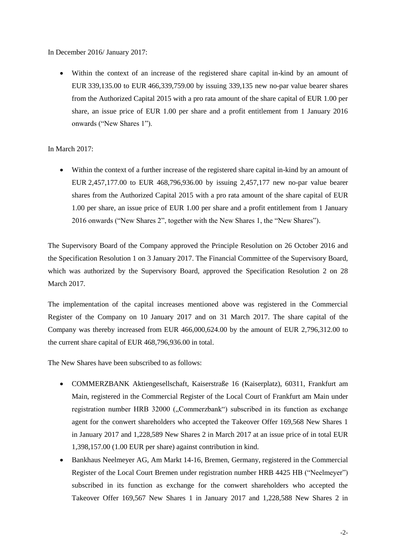In December 2016/ January 2017:

 Within the context of an increase of the registered share capital in-kind by an amount of EUR 339,135.00 to EUR 466,339,759.00 by issuing 339,135 new no-par value bearer shares from the Authorized Capital 2015 with a pro rata amount of the share capital of EUR 1.00 per share, an issue price of EUR 1.00 per share and a profit entitlement from 1 January 2016 onwards ("New Shares 1").

In March 2017:

 Within the context of a further increase of the registered share capital in-kind by an amount of EUR 2,457,177.00 to EUR 468,796,936.00 by issuing 2,457,177 new no-par value bearer shares from the Authorized Capital 2015 with a pro rata amount of the share capital of EUR 1.00 per share, an issue price of EUR 1.00 per share and a profit entitlement from 1 January 2016 onwards ("New Shares 2", together with the New Shares 1, the "New Shares").

The Supervisory Board of the Company approved the Principle Resolution on 26 October 2016 and the Specification Resolution 1 on 3 January 2017. The Financial Committee of the Supervisory Board, which was authorized by the Supervisory Board, approved the Specification Resolution 2 on 28 March 2017.

The implementation of the capital increases mentioned above was registered in the Commercial Register of the Company on 10 January 2017 and on 31 March 2017. The share capital of the Company was thereby increased from EUR 466,000,624.00 by the amount of EUR 2,796,312.00 to the current share capital of EUR 468,796,936.00 in total.

The New Shares have been subscribed to as follows:

- COMMERZBANK Aktiengesellschaft, Kaiserstraße 16 (Kaiserplatz), 60311, Frankfurt am Main, registered in the Commercial Register of the Local Court of Frankfurt am Main under registration number HRB 32000 ("Commerzbank") subscribed in its function as exchange agent for the conwert shareholders who accepted the Takeover Offer 169,568 New Shares 1 in January 2017 and 1,228,589 New Shares 2 in March 2017 at an issue price of in total EUR 1,398,157.00 (1.00 EUR per share) against contribution in kind.
- Bankhaus Neelmeyer AG, Am Markt 14-16, Bremen, Germany, registered in the Commercial Register of the Local Court Bremen under registration number HRB 4425 HB ("Neelmeyer") subscribed in its function as exchange for the conwert shareholders who accepted the Takeover Offer 169,567 New Shares 1 in January 2017 and 1,228,588 New Shares 2 in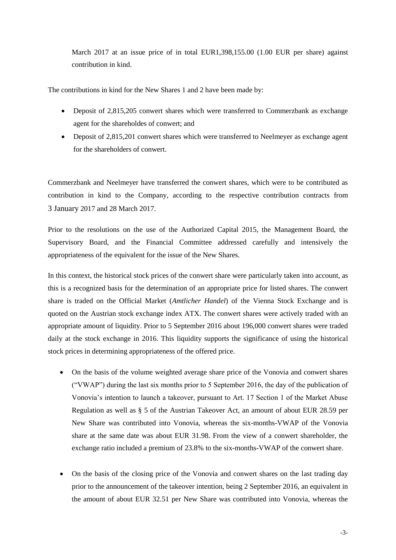March 2017 at an issue price of in total EUR1,398,155.00 (1.00 EUR per share) against contribution in kind.

The contributions in kind for the New Shares 1 and 2 have been made by:

- Deposit of 2,815,205 conwert shares which were transferred to Commerzbank as exchange agent for the shareholdes of conwert; and
- Deposit of 2,815,201 conwert shares which were transferred to Neelmeyer as exchange agent for the shareholders of conwert.

Commerzbank and Neelmeyer have transferred the conwert shares, which were to be contributed as contribution in kind to the Company, according to the respective contribution contracts from 3 January 2017 and 28 March 2017.

Prior to the resolutions on the use of the Authorized Capital 2015, the Management Board, the Supervisory Board, and the Financial Committee addressed carefully and intensively the appropriateness of the equivalent for the issue of the New Shares.

In this context, the historical stock prices of the conwert share were particularly taken into account, as this is a recognized basis for the determination of an appropriate price for listed shares. The conwert share is traded on the Official Market (*Amtlicher Handel*) of the Vienna Stock Exchange and is quoted on the Austrian stock exchange index ATX. The conwert shares were actively traded with an appropriate amount of liquidity. Prior to 5 September 2016 about 196,000 conwert shares were traded daily at the stock exchange in 2016. This liquidity supports the significance of using the historical stock prices in determining appropriateness of the offered price.

- On the basis of the volume weighted average share price of the Vonovia and conwert shares ("VWAP") during the last six months prior to 5 September 2016, the day of the publication of Vonovia's intention to launch a takeover, pursuant to Art. 17 Section 1 of the Market Abuse Regulation as well as § 5 of the Austrian Takeover Act, an amount of about EUR 28.59 per New Share was contributed into Vonovia, whereas the six-months-VWAP of the Vonovia share at the same date was about EUR 31.98. From the view of a conwert shareholder, the exchange ratio included a premium of 23.8% to the six-months-VWAP of the conwert share.
- On the basis of the closing price of the Vonovia and conwert shares on the last trading day prior to the announcement of the takeover intention, being 2 September 2016, an equivalent in the amount of about EUR 32.51 per New Share was contributed into Vonovia, whereas the